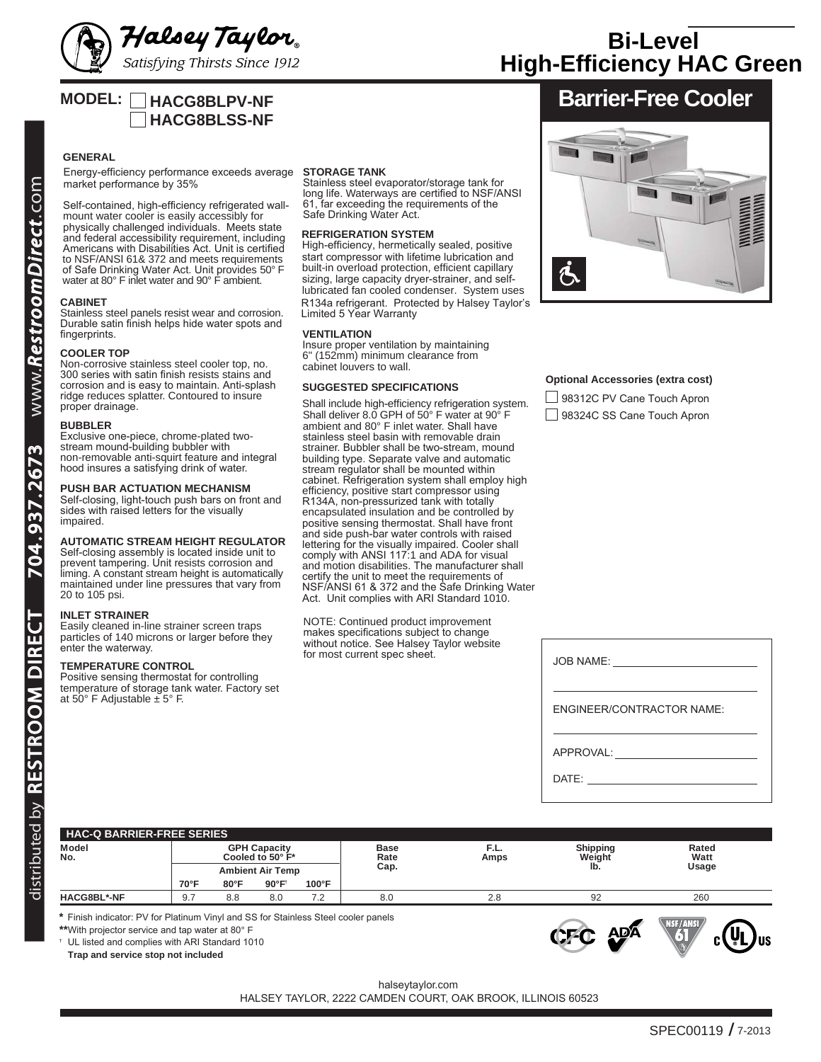

# **High-Efficiency HAC Green Bi-Level**

# **MODEL: HACG8BLPV-NF HACG8BLSS-NF**

# **GENERAL**

Energy-efficiency performance exceeds average market performance by 35%

physically challenged individuals. Meets state and federal accessibility requirement, including Americans with Disabilities Act. Unit is certified to NSF/ANSI 61& 372 and meets requirements of Safe Drinking Water Act. Unit provides 50° F water at 80° F inlet water and 90° F ambient. Self-contained, high-efficiency refrigerated wallmount water cooler is easily accessibly for

### **CABINET**

Stainless steel panels resist wear and corrosion. Durable satin finish helps hide water spots and fingerprints.

#### **COOLER TOP**

Non-corrosive stainless steel cooler top, no. 300 series with satin finish resists stains and corrosion and is easy to maintain. Anti-splash ridge reduces splatter. Contoured to insure proper drainage.

#### **BUBBLER**

Exclusive one-piece, chrome-plated twostream mound-building bubbler with non-removable anti-squirt feature and integral hood insures a satisfying drink of water.

#### **PUSH BAR ACTUATION MECHANISM**

Self-closing, light-touch push bars on front and sides with raised letters for the visually impaired.

# **AUTOMATIC STREAM HEIGHT REGULATOR**

Self-closing assembly is located inside unit to prevent tampering. Unit resists corrosion and liming. A constant stream height is automatically maintained under line pressures that vary from 20 to 105 psi.

### **INLET STRAINER**

Easily cleaned in-line strainer screen traps particles of 140 microns or larger before they enter the waterway.

#### **TEMPERATURE CONTROL**

Positive sensing thermostat for controlling temperature of storage tank water. Factory set at 50 $\degree$  F Adjustable  $\pm$  5 $\degree$  F.

# **STORAGE TANK**

Stainless steel evaporator/storage tank for long life. Waterways are certified to NSF/ANSI 61, far exceeding the requirements of the Safe Drinking Water Act.

### **REFRIGERATION SYSTEM**

High-efficiency, hermetically sealed, positive lubricated fan cooled condenser. System uses R134a refrigerant. Protected by Halsey Taylor's Limited 5 Year Warranty start compressor with lifetime lubrication and built-in overload protection, efficient capillary sizing, large capacity dryer-strainer, and self-

#### **VENTILATION**

Insure proper ventilation by maintaining 6" (152mm) minimum clearance from cabinet louvers to wall.

### **SUGGESTED SPECIFICATIONS**

Shall deliver 8.0 GPH of 50° F water at 90° F ambient and 80° F inlet water. Shall have stainless steel basin with removable drain strainer. Bubbler shall be two-stream, mound building type. Separate valve and automatic stream regulator shall be mounted within cabinet. Refrigeration system shall employ high efficiency, positive start compressor using R134A, non-pressurized tank with totally encapsulated insulation and be controlled by positive sensing thermostat. Shall have front and side push-bar water controls with raised lettering for the visually impaired. Cooler shall comply with ANSI 117:1 and ADA for visual and motion disabilities. The manufacturer shall certify the unit to meet the requirements of NSF/ANSI 61 & 372 and the Safe Drinking Water Act. Unit complies with ARI Standard 1010. Shall include high-efficiency refrigeration system.

NOTE: Continued product improvement makes specifications subject to change without notice. See Halsey Taylor website for most current spec sheet.





# **Optional Accessories (extra cost)**

| 98312C PV Cane Touch Apron |  |  |
|----------------------------|--|--|
| 98324C SS Cane Touch Apron |  |  |

| JOB NAME: <u>_______________</u> |
|----------------------------------|
| <b>ENGINEER/CONTRACTOR NAME:</b> |
| APPROVAL: ___________________    |
|                                  |

# **HAC-Q BARRIER-FREE SERIES ledoM yticapaC HPG esaB .L.F gnippihS detaR** No. Cooled to 50° F\* Rate Amps Weight Watt **Ambient Air Temp .paC .bl egasU 70°F 80°F 90°F† 100°F HACG8BL\*-NF** 9.7 8.8 8.0 7.2 8.0 8.0 2.8 92 260

**\*** Finish indicator: PV for Platinum Vinyl and SS for Stainless Steel cooler panels

**\*\***With projector service and tap water at 80° F **†** UL listed and complies with ARI Standard 1010

**Trap and service stop not included**



halseytaylor.com

HALSEY TAYLOR, 2222 CAMDEN COURT, OAK BROOK, ILLINOIS 60523